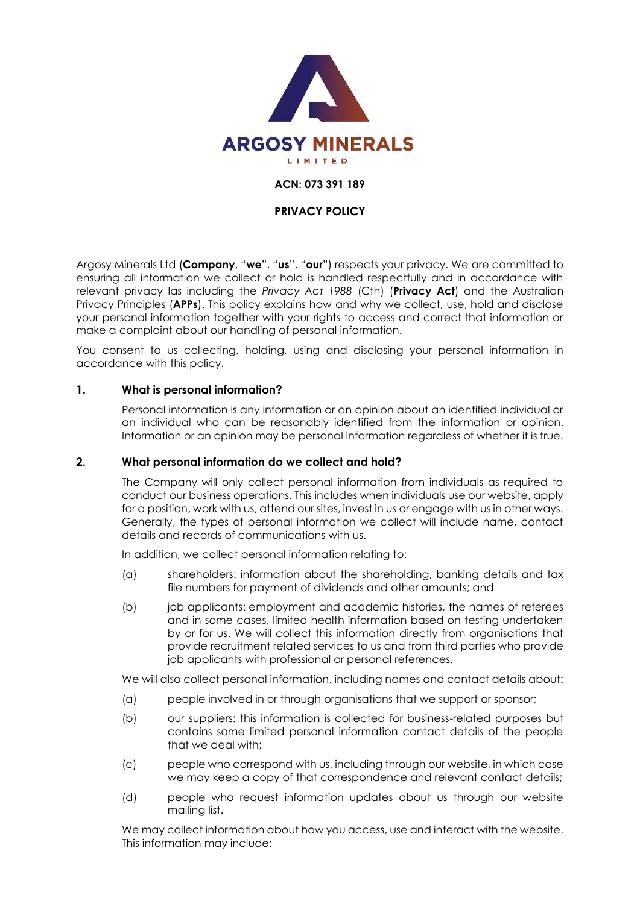

## **ACN: 073 391 189**

#### **PRIVACY POLICY**

Argosy Minerals Ltd (**Company**, "**we**", "**us**", "**our**") respects your privacy. We are committed to ensuring all information we collect or hold is handled respectfully and in accordance with relevant privacy las including the *Privacy Act 1988* (Cth) (**Privacy Act**) and the Australian Privacy Principles (**APPs**). This policy explains how and why we collect, use, hold and disclose your personal information together with your rights to access and correct that information or make a complaint about our handling of personal information.

You consent to us collecting, holding, using and disclosing your personal information in accordance with this policy.

#### **1. What is personal information?**

Personal information is any information or an opinion about an identified individual or an individual who can be reasonably identified from the information or opinion. Information or an opinion may be personal information regardless of whether it is true.

#### **2. What personal information do we collect and hold?**

The Company will only collect personal information from individuals as required to conduct our business operations. This includes when individuals use our website, apply for a position, work with us, attend our sites, invest in us or engage with us in other ways. Generally, the types of personal information we collect will include name, contact details and records of communications with us.

In addition, we collect personal information relating to:

- (a) shareholders: information about the shareholding, banking details and tax file numbers for payment of dividends and other amounts; and
- (b) job applicants: employment and academic histories, the names of referees and in some cases, limited health information based on testing undertaken by or for us. We will collect this information directly from organisations that provide recruitment related services to us and from third parties who provide job applicants with professional or personal references.

We will also collect personal information, including names and contact details about:

- (a) people involved in or through organisations that we support or sponsor;
- (b) our suppliers: this information is collected for business-related purposes but contains some limited personal information contact details of the people that we deal with;
- (c) people who correspond with us, including through our website, in which case we may keep a copy of that correspondence and relevant contact details;
- (d) people who request information updates about us through our website mailing list.

We may collect information about how you access, use and interact with the website. This information may include: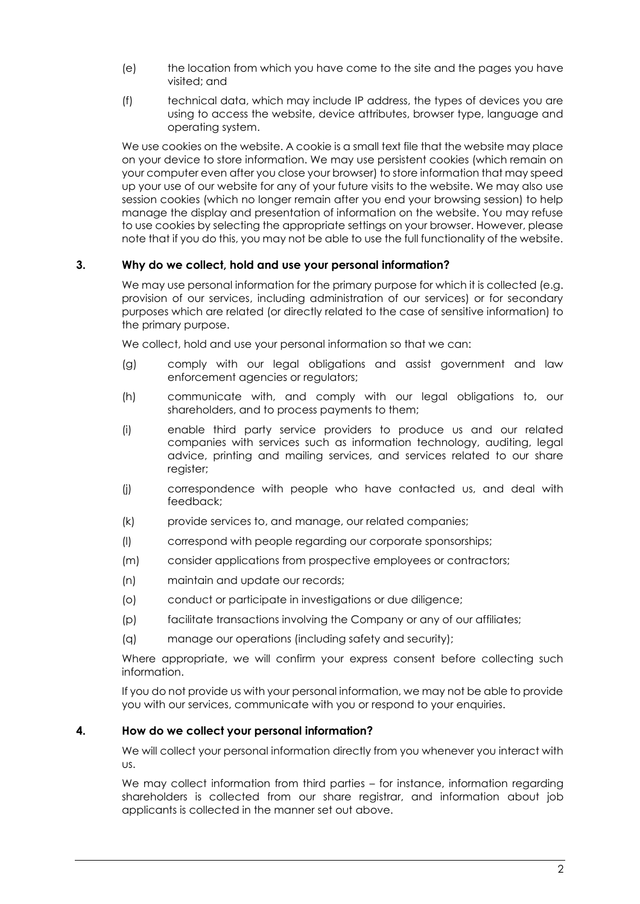- (e) the location from which you have come to the site and the pages you have visited; and
- (f) technical data, which may include IP address, the types of devices you are using to access the website, device attributes, browser type, language and operating system.

We use cookies on the website. A cookie is a small text file that the website may place on your device to store information. We may use persistent cookies (which remain on your computer even after you close your browser) to store information that may speed up your use of our website for any of your future visits to the website. We may also use session cookies (which no longer remain after you end your browsing session) to help manage the display and presentation of information on the website. You may refuse to use cookies by selecting the appropriate settings on your browser. However, please note that if you do this, you may not be able to use the full functionality of the website.

## **3. Why do we collect, hold and use your personal information?**

We may use personal information for the primary purpose for which it is collected (e.g. provision of our services, including administration of our services) or for secondary purposes which are related (or directly related to the case of sensitive information) to the primary purpose.

We collect, hold and use your personal information so that we can:

- (g) comply with our legal obligations and assist government and law enforcement agencies or regulators;
- (h) communicate with, and comply with our legal obligations to, our shareholders, and to process payments to them;
- (i) enable third party service providers to produce us and our related companies with services such as information technology, auditing, legal advice, printing and mailing services, and services related to our share reaister:
- (j) correspondence with people who have contacted us, and deal with feedback;
- (k) provide services to, and manage, our related companies;
- (l) correspond with people regarding our corporate sponsorships;
- (m) consider applications from prospective employees or contractors;
- (n) maintain and update our records;
- (o) conduct or participate in investigations or due diligence;
- (p) facilitate transactions involving the Company or any of our affiliates;
- (q) manage our operations (including safety and security);

Where appropriate, we will confirm your express consent before collecting such information.

If you do not provide us with your personal information, we may not be able to provide you with our services, communicate with you or respond to your enquiries.

## **4. How do we collect your personal information?**

We will collect your personal information directly from you whenever you interact with us.

We may collect information from third parties – for instance, information regarding shareholders is collected from our share registrar, and information about job applicants is collected in the manner set out above.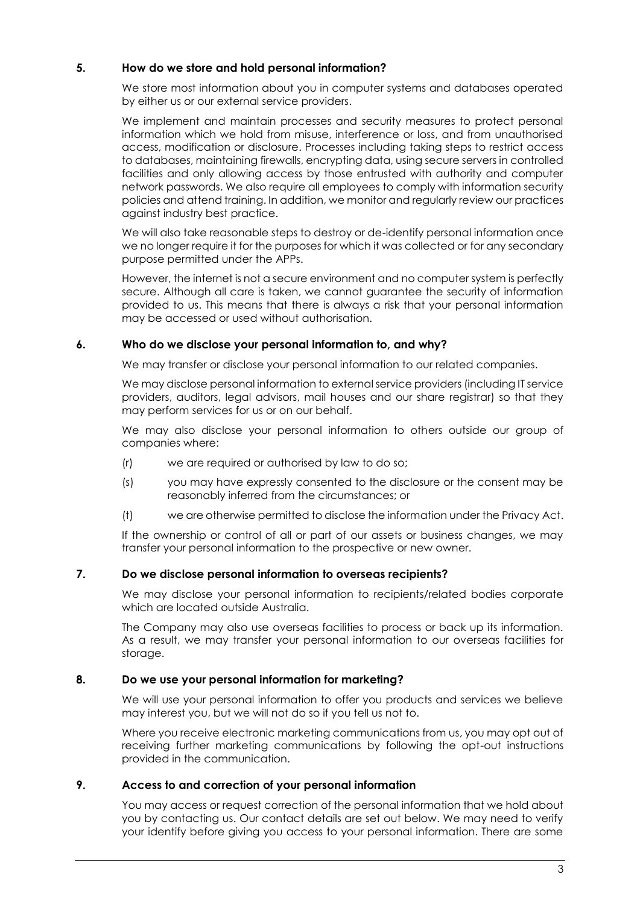# **5. How do we store and hold personal information?**

We store most information about you in computer systems and databases operated by either us or our external service providers.

We implement and maintain processes and security measures to protect personal information which we hold from misuse, interference or loss, and from unauthorised access, modification or disclosure. Processes including taking steps to restrict access to databases, maintaining firewalls, encrypting data, using secure servers in controlled facilities and only allowing access by those entrusted with authority and computer network passwords. We also require all employees to comply with information security policies and attend training. In addition, we monitor and regularly review our practices against industry best practice.

We will also take reasonable steps to destroy or de-identify personal information once we no longer require it for the purposes for which it was collected or for any secondary purpose permitted under the APPs.

However, the internet is not a secure environment and no computer system is perfectly secure. Although all care is taken, we cannot guarantee the security of information provided to us. This means that there is always a risk that your personal information may be accessed or used without authorisation.

## **6. Who do we disclose your personal information to, and why?**

We may transfer or disclose your personal information to our related companies.

We may disclose personal information to external service providers (including IT service providers, auditors, legal advisors, mail houses and our share registrar) so that they may perform services for us or on our behalf.

We may also disclose your personal information to others outside our group of companies where:

- (r) we are required or authorised by law to do so;
- (s) you may have expressly consented to the disclosure or the consent may be reasonably inferred from the circumstances; or
- (t) we are otherwise permitted to disclose the information under the Privacy Act.

If the ownership or control of all or part of our assets or business changes, we may transfer your personal information to the prospective or new owner.

## **7. Do we disclose personal information to overseas recipients?**

We may disclose your personal information to recipients/related bodies corporate which are located outside Australia.

The Company may also use overseas facilities to process or back up its information. As a result, we may transfer your personal information to our overseas facilities for storage.

## **8. Do we use your personal information for marketing?**

We will use your personal information to offer you products and services we believe may interest you, but we will not do so if you tell us not to.

Where you receive electronic marketing communications from us, you may opt out of receiving further marketing communications by following the opt-out instructions provided in the communication.

## **9. Access to and correction of your personal information**

You may access or request correction of the personal information that we hold about you by contacting us. Our contact details are set out below. We may need to verify your identify before giving you access to your personal information. There are some